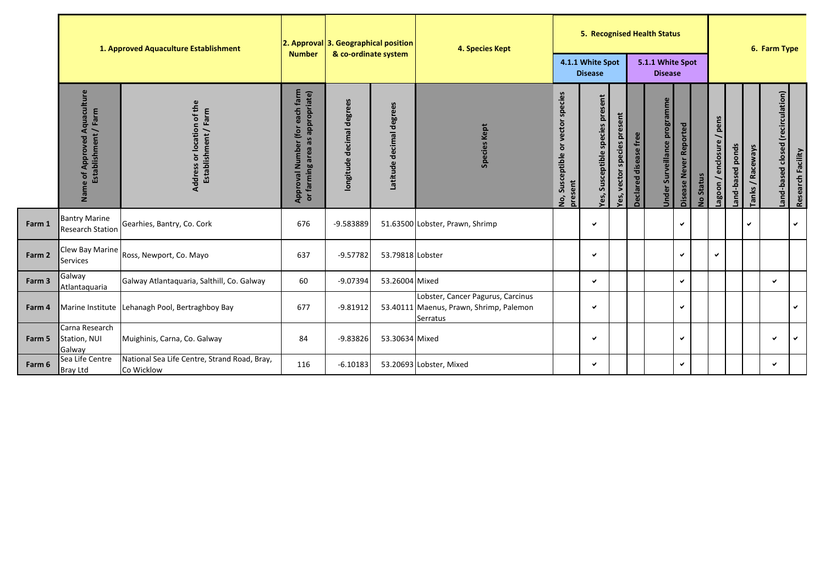|        | 1. Approved Aquaculture Establishment                   |                                                                      | <b>Number</b>                                                           | 2. Approval 3. Geographical position<br>& co-ordinate system |                                | 4. Species Kept                                                                          | 5. Recognised Health Status                                              |                                                                           |                                |                                    |                                     |                        | 6. Farm Type                   |                              |                  |                            |                                   |                   |
|--------|---------------------------------------------------------|----------------------------------------------------------------------|-------------------------------------------------------------------------|--------------------------------------------------------------|--------------------------------|------------------------------------------------------------------------------------------|--------------------------------------------------------------------------|---------------------------------------------------------------------------|--------------------------------|------------------------------------|-------------------------------------|------------------------|--------------------------------|------------------------------|------------------|----------------------------|-----------------------------------|-------------------|
|        |                                                         |                                                                      |                                                                         |                                                              |                                |                                                                                          | 4.1.1 White Spot<br><b>Disease</b>                                       |                                                                           |                                | 5.1.1 White Spot<br><b>Disease</b> |                                     |                        |                                |                              |                  |                            |                                   |                   |
|        | of Approved Aquaculture<br>Establishment / Farm<br>Name | of the<br>Farm<br>location<br>Address or location<br>Establishment / | Approval Number (for each farm<br>appropriate)<br>as<br>or farming area | degrees<br>decimal<br>longitude                              | degrees<br>decimal<br>Latitude | <b>Species Kept</b>                                                                      | species<br>vector<br>$\overline{\sigma}$<br>Susceptible<br>present<br>S. | $\overline{\epsilon}$<br>$\overline{a}$<br>species<br>Susceptible<br>Yes, | species present<br>Yes, vector | Declared disease free              | <b>Under Surveillance programme</b> | Disease Never Reported | <b>Status</b><br>$\frac{1}{2}$ | pens<br>enclosure<br>/ uooge | and-based ponds. | / Raceways<br><b>Tanks</b> | Land-based closed (recirculation) | Research Facility |
| Farm 1 | <b>Bantry Marine</b><br><b>Research Station</b>         | Gearhies, Bantry, Co. Cork                                           | 676                                                                     | -9.583889                                                    |                                | 51.63500 Lobster, Prawn, Shrimp                                                          |                                                                          | ✓                                                                         |                                |                                    |                                     | $\checkmark$           |                                |                              |                  | ✓                          |                                   | $\checkmark$      |
| Farm 2 | Clew Bay Marine<br><b>Services</b>                      | Ross, Newport, Co. Mayo                                              | 637                                                                     | $-9.57782$                                                   | 53.79818 Lobster               |                                                                                          |                                                                          | ✓                                                                         |                                |                                    |                                     | $\checkmark$           |                                | ✓                            |                  |                            |                                   |                   |
| Farm 3 | Galway<br>Atlantaquaria                                 | Galway Atlantaquaria, Salthill, Co. Galway                           | 60                                                                      | $-9.07394$                                                   | 53.26004 Mixed                 |                                                                                          |                                                                          | $\checkmark$                                                              |                                |                                    |                                     | $\checkmark$           |                                |                              |                  |                            | v                                 |                   |
| Farm 4 |                                                         | Marine Institute Lehanagh Pool, Bertraghboy Bay                      | 677                                                                     | $-9.81912$                                                   |                                | Lobster, Cancer Pagurus, Carcinus<br>53.40111 Maenus, Prawn, Shrimp, Palemon<br>Serratus |                                                                          | ✔                                                                         |                                |                                    |                                     | $\checkmark$           |                                |                              |                  |                            |                                   | $\checkmark$      |
| Farm 5 | Carna Research<br>Station, NUI<br>Galway                | Muighinis, Carna, Co. Galway                                         | 84                                                                      | $-9.83826$                                                   | 53.30634 Mixed                 |                                                                                          |                                                                          | ✓                                                                         |                                |                                    |                                     | $\checkmark$           |                                |                              |                  |                            | ✓                                 | $\checkmark$      |
| Farm 6 | Sea Life Centre<br><b>Bray Ltd</b>                      | National Sea Life Centre, Strand Road, Bray,<br>Co Wicklow           | 116                                                                     | $-6.10183$                                                   |                                | 53.20693 Lobster, Mixed                                                                  |                                                                          | ✓                                                                         |                                |                                    |                                     | $\checkmark$           |                                |                              |                  |                            | $\checkmark$                      |                   |